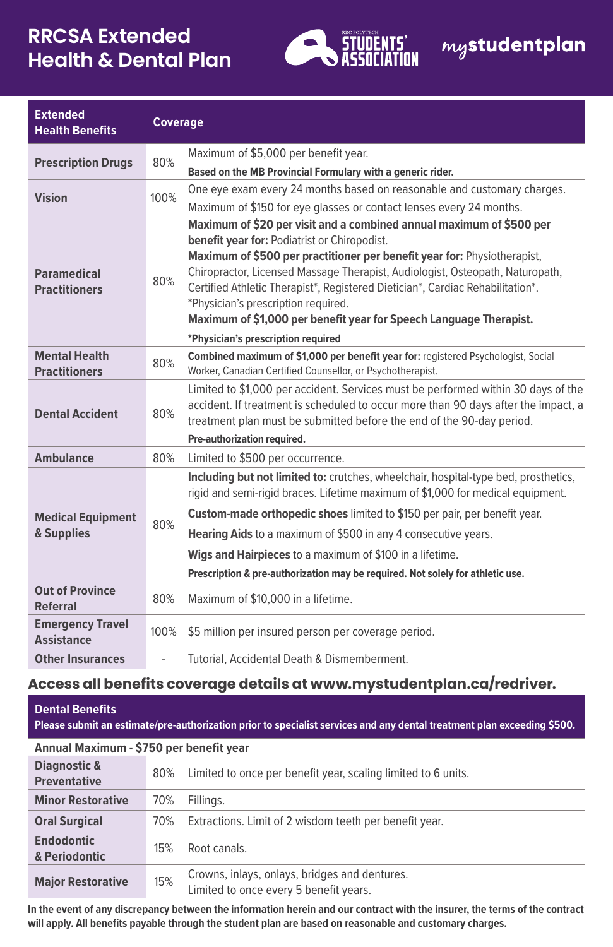# **RRCSA Extended Health & Dental Plan**



mystudentplan

| <b>Extended</b><br><b>Health Benefits</b>    | <b>Coverage</b> |                                                                                                                                                                                                                                                                                                                                                                                                                                                                                  |
|----------------------------------------------|-----------------|----------------------------------------------------------------------------------------------------------------------------------------------------------------------------------------------------------------------------------------------------------------------------------------------------------------------------------------------------------------------------------------------------------------------------------------------------------------------------------|
| <b>Prescription Drugs</b>                    | 80%             | Maximum of \$5,000 per benefit year.                                                                                                                                                                                                                                                                                                                                                                                                                                             |
|                                              |                 | Based on the MB Provincial Formulary with a generic rider.                                                                                                                                                                                                                                                                                                                                                                                                                       |
| <b>Vision</b>                                | 100%            | One eye exam every 24 months based on reasonable and customary charges.                                                                                                                                                                                                                                                                                                                                                                                                          |
|                                              |                 | Maximum of \$150 for eye glasses or contact lenses every 24 months.                                                                                                                                                                                                                                                                                                                                                                                                              |
| <b>Paramedical</b><br><b>Practitioners</b>   | 80%             | Maximum of \$20 per visit and a combined annual maximum of \$500 per<br>benefit year for: Podiatrist or Chiropodist.<br>Maximum of \$500 per practitioner per benefit year for: Physiotherapist,<br>Chiropractor, Licensed Massage Therapist, Audiologist, Osteopath, Naturopath,<br>Certified Athletic Therapist*, Registered Dietician*, Cardiac Rehabilitation*.<br>*Physician's prescription required.<br>Maximum of \$1,000 per benefit year for Speech Language Therapist. |
|                                              |                 | *Physician's prescription required                                                                                                                                                                                                                                                                                                                                                                                                                                               |
| <b>Mental Health</b><br><b>Practitioners</b> | 80%             | Combined maximum of \$1,000 per benefit year for: registered Psychologist, Social<br>Worker, Canadian Certified Counsellor, or Psychotherapist.                                                                                                                                                                                                                                                                                                                                  |
| <b>Dental Accident</b>                       | 80%             | Limited to \$1,000 per accident. Services must be performed within 30 days of the<br>accident. If treatment is scheduled to occur more than 90 days after the impact, a<br>treatment plan must be submitted before the end of the 90-day period.                                                                                                                                                                                                                                 |
|                                              |                 | Pre-authorization required.                                                                                                                                                                                                                                                                                                                                                                                                                                                      |
| <b>Ambulance</b>                             | 80%             | Limited to \$500 per occurrence.                                                                                                                                                                                                                                                                                                                                                                                                                                                 |
| <b>Medical Equipment</b><br>& Supplies       | 80%             | Including but not limited to: crutches, wheelchair, hospital-type bed, prosthetics,<br>rigid and semi-rigid braces. Lifetime maximum of \$1,000 for medical equipment.                                                                                                                                                                                                                                                                                                           |
|                                              |                 | Custom-made orthopedic shoes limited to \$150 per pair, per benefit year.                                                                                                                                                                                                                                                                                                                                                                                                        |
|                                              |                 | <b>Hearing Aids</b> to a maximum of \$500 in any 4 consecutive years.                                                                                                                                                                                                                                                                                                                                                                                                            |
|                                              |                 | Wigs and Hairpieces to a maximum of \$100 in a lifetime.                                                                                                                                                                                                                                                                                                                                                                                                                         |
|                                              |                 | Prescription & pre-authorization may be required. Not solely for athletic use.                                                                                                                                                                                                                                                                                                                                                                                                   |
| <b>Out of Province</b><br><b>Referral</b>    | 80%             | Maximum of \$10,000 in a lifetime.                                                                                                                                                                                                                                                                                                                                                                                                                                               |
| <b>Emergency Travel</b><br><b>Assistance</b> | 100%            | \$5 million per insured person per coverage period.                                                                                                                                                                                                                                                                                                                                                                                                                              |
| <b>Other Insurances</b>                      |                 | Tutorial, Accidental Death & Dismemberment.                                                                                                                                                                                                                                                                                                                                                                                                                                      |

# **Access all benefits coverage details at www.mystudentplan.ca/redriver.**

**Dental Benefits Please submit an estimate/pre-authorization prior to specialist services and any dental treatment plan exceeding \$500. Annual Maximum - \$750 per benefit year Diagnostic & Preventative** 80% Limited to once per benefit year, scaling limited to 6 units. **Minor Restorative 70% | Fillings.** 

**Oral Surgical** 70% | Extractions. Limit of 2 wisdom teeth per benefit year. **Endodontic & Periodontic** 15% Root canals. **Major Restorative** 15% Crowns, inlays, onlays, bridges and dentures. Limited to once every 5 benefit years.

**In the event of any discrepancy between the information herein and our contract with the insurer, the terms of the contract will apply. All benefits payable through the student plan are based on reasonable and customary charges.**